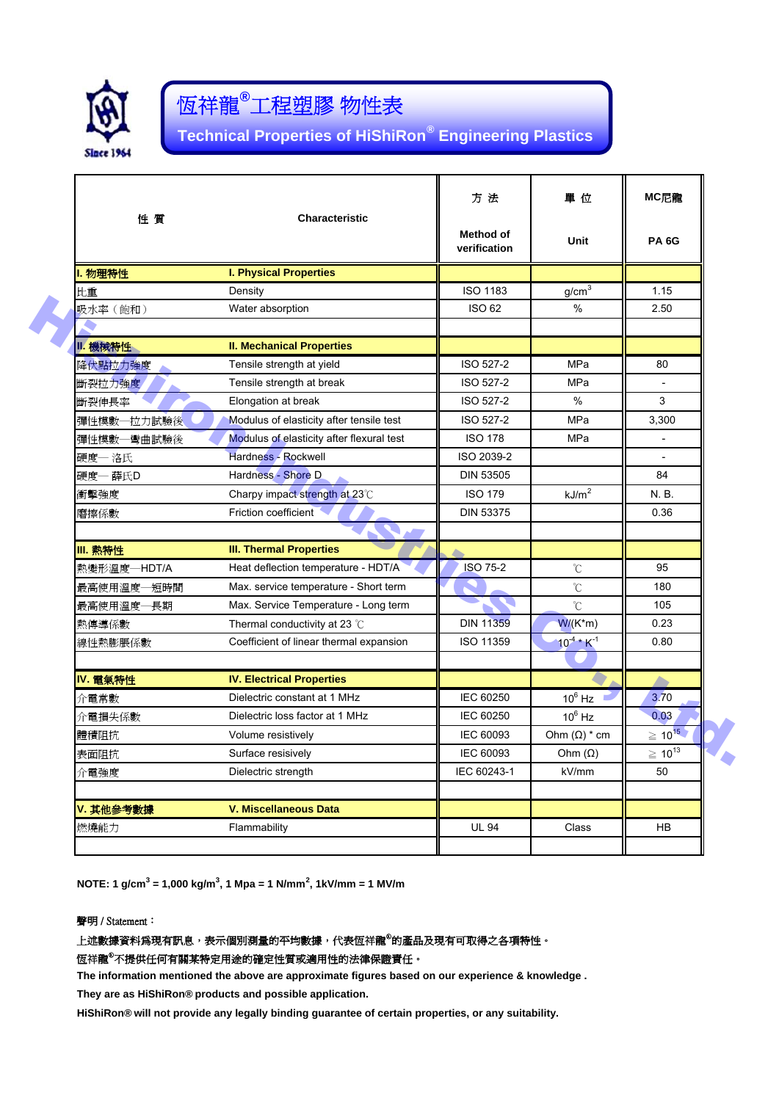

# 恆祥龍**®** 工程塑膠 物性表

**Technical Properties of HiShiRon® Engineering Plastics**

| 性質          | <b>Characteristic</b>                     | 方 法                       | 單 位                         | MC尼龍           |
|-------------|-------------------------------------------|---------------------------|-----------------------------|----------------|
|             |                                           | Method of<br>verification | Unit                        | <b>PA6G</b>    |
| 1. 物理特性     | <b>I. Physical Properties</b>             |                           |                             |                |
| 比重          | Density                                   | <b>ISO 1183</b>           | g/cm <sup>3</sup>           | 1.15           |
| 吸水率 (飽和)    | Water absorption                          | <b>ISO 62</b>             | $\%$                        | 2.50           |
|             |                                           |                           |                             |                |
| Ⅱ. 機械特性     | <b>II. Mechanical Properties</b>          |                           |                             |                |
| 降伏點拉力強度     | Tensile strength at yield                 | ISO 527-2                 | MPa                         | 80             |
| 斷裂拉力強度      | Tensile strength at break                 | ISO 527-2                 | MPa                         |                |
| 斷裂伸長率       | Elongation at break                       | ISO 527-2                 | $\%$                        | 3              |
| 彈性模數一拉力試驗後  | Modulus of elasticity after tensile test  | ISO 527-2                 | MPa                         | 3.300          |
| 彈性模數一彎曲試驗後  | Modulus of elasticity after flexural test | <b>ISO 178</b>            | MPa                         |                |
| 硬度一 洛氏      | Hardness - Rockwell                       | ISO 2039-2                |                             | $\overline{a}$ |
| 硬度- 薛氏D     | Hardness - Shore D                        | <b>DIN 53505</b>          |                             | 84             |
| 衝擊強度        | Charpy impact strength at 23°C            | <b>ISO 179</b>            | kJ/m <sup>2</sup>           | N. B.          |
| 磨擦係數        | Friction coefficient                      | <b>DIN 53375</b>          |                             | 0.36           |
|             |                                           |                           |                             |                |
| Ⅲ. 熱特性      | <b>III. Thermal Properties</b>            |                           |                             |                |
| 熱變形溫度–HDT/A | Heat deflection temperature - HDT/A       | <b>ISO 75-2</b>           | °C                          | 95             |
| 最高使用溫度—短時間  | Max. service temperature - Short term     |                           | $\rm ^{\circ}C$             | 180            |
| 最高使用溫度一長期   | Max. Service Temperature - Long term      |                           | $\mathrm{C}^{\circ}$        | 105            |
| 熱傳導係數       | Thermal conductivity at 23 $\degree$ C    | <b>DIN 11359</b>          | $W/(K*m)$                   | 0.23           |
| 線性熱膨脹係數     | Coefficient of linear thermal expansion   | ISO 11359                 | $10^{-4}$ * K <sup>-1</sup> | 0.80           |
| IV. 電氣特性    | <b>IV. Electrical Properties</b>          |                           |                             | ́              |
| 介電常數        | Dielectric constant at 1 MHz              | <b>IEC 60250</b>          | $10^6$ Hz                   | 3.70           |
| 介電損失係數      | Dielectric loss factor at 1 MHz           | <b>IEC 60250</b>          | $10^6$ Hz                   | 0.03           |
| 體積阻抗        | Volume resistively                        | <b>IEC 60093</b>          | Ohm $(\Omega)$ * cm         | $\geq 10^{15}$ |
| 表面阻抗        | Surface resisively                        | IEC 60093                 | Ohm $(\Omega)$              | $\geq 10^{13}$ |
| 介電強度        | Dielectric strength                       | IEC 60243-1               | kV/mm                       | 50             |
| V. 其他參考數據   | <b>V. Miscellaneous Data</b>              |                           |                             |                |
| 燃燒能力        | Flammability                              | <b>UL 94</b>              | Class                       | <b>HB</b>      |

**NOTE: 1 g/cm<sup>3</sup> = 1,000 kg/m<sup>3</sup> , 1 Mpa = 1 N/mm<sup>2</sup> , 1kV/mm = 1 MV/m**

### 聲明 / Statement:

## 上述數據資料爲現有訊息,表示個別測量的平均數據,代表恆祥龍<sup>®</sup>的產品及現有可取得之各項特性。

恆祥龍®不提供任何有關某特定用途的確定性質或適用性的法律保證責任。

**The information mentioned the above are approximate figures based on our experience & knowledge .**

**They are as HiShiRon® products and possible application.**

**HiShiRon® will not provide any legally binding guarantee of certain properties, or any suitability.**